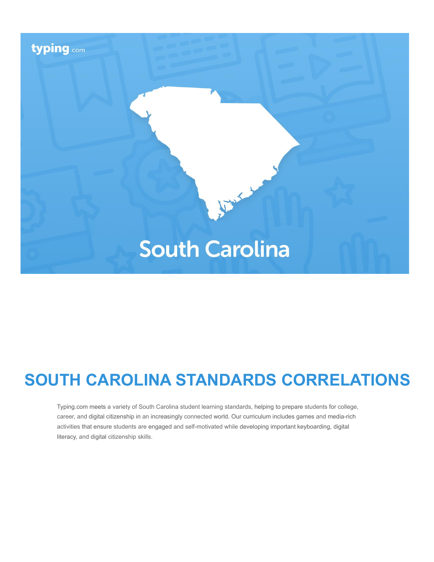

# **SOUTH CAROLINA STANDARDS CORRELATIONS**

Typing.com meets a variety of South Carolina student learning standards, helping to prepare students for college, career, and digital citizenship in an increasingly connected world. Our curriculum includes games and media-rich activities that ensure students are engaged and self-motivated while developing important keyboarding, digital literacy, and digital citizenship skills.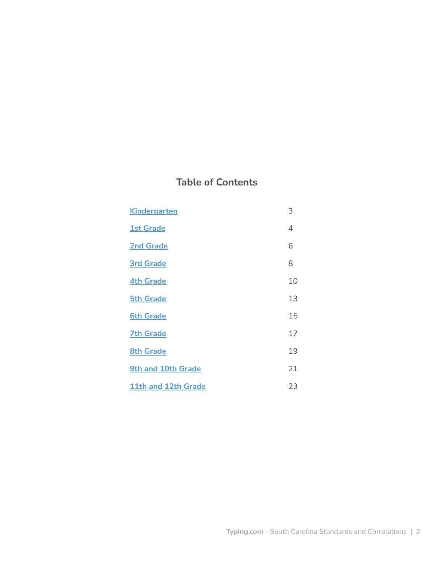# **Table of Contents**

| <b>Kindergarten</b>       | 3  |
|---------------------------|----|
| <b>1st Grade</b>          | 4  |
| <b>2nd Grade</b>          | 6  |
| <b>3rd Grade</b>          | 8  |
| <b>4th Grade</b>          | 10 |
| <b>5th Grade</b>          | 13 |
| <b>6th Grade</b>          | 15 |
| <b>7th Grade</b>          | 17 |
| <b>8th Grade</b>          | 19 |
| <b>9th and 10th Grade</b> | 21 |
| 11th and 12th Grade       | 23 |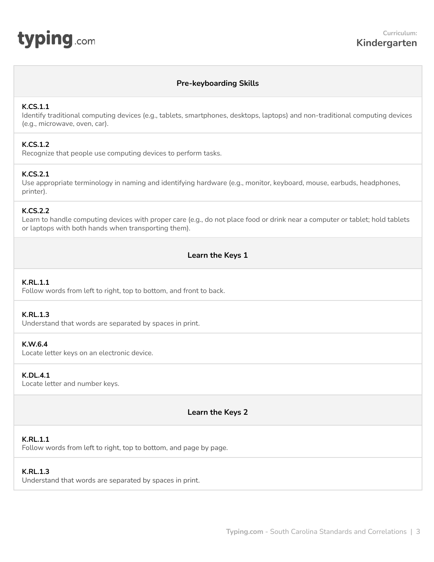# **Pre-keyboarding Skills**

# <span id="page-2-0"></span>**K.CS.1.1**

Identify traditional computing devices (e.g., tablets, smartphones, desktops, laptops) and non-traditional computing devices (e.g., microwave, oven, car).

# **K.CS.1.2**

Recognize that people use computing devices to perform tasks.

# **K.CS.2.1**

Use appropriate terminology in naming and identifying hardware (e.g., monitor, keyboard, mouse, earbuds, headphones, printer).

# **K.CS.2.2**

Learn to handle computing devices with proper care (e.g., do not place food or drink near a computer or tablet; hold tablets or laptops with both hands when transporting them).

# **Learn the Keys 1**

# **K.RL.1.1**

Follow words from left to right, top to bottom, and front to back.

#### **K.RL.1.3**

Understand that words are separated by spaces in print.

#### **K.W.6.4**

Locate letter keys on an electronic device.

### **K.DL.4.1**

Locate letter and number keys.

**Learn the Keys 2**

#### **K.RL.1.1**

Follow words from left to right, top to bottom, and page by page.

#### **K.RL.1.3**

Understand that words are separated by spaces in print.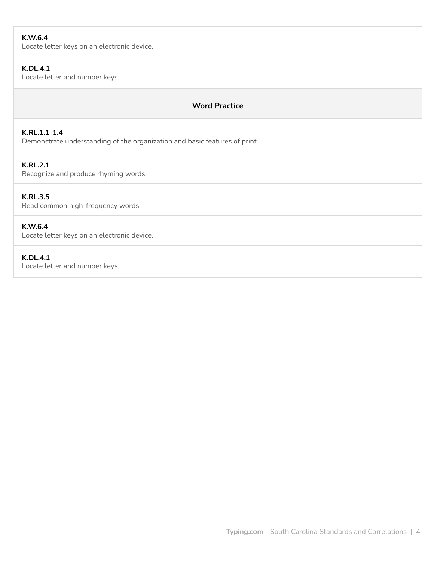# **K.W.6.4**

Locate letter keys on an electronic device.

# **K.DL.4.1**

Locate letter and number keys.

# **Word Practice**

# **K.RL.1.1-1.4**

Demonstrate understanding of the organization and basic features of print.

# **K.RL.2.1**

Recognize and produce rhyming words.

# **K.RL.3.5**

Read common high-frequency words.

# **K.W.6.4**

Locate letter keys on an electronic device.

# **K.DL.4.1**

Locate letter and number keys.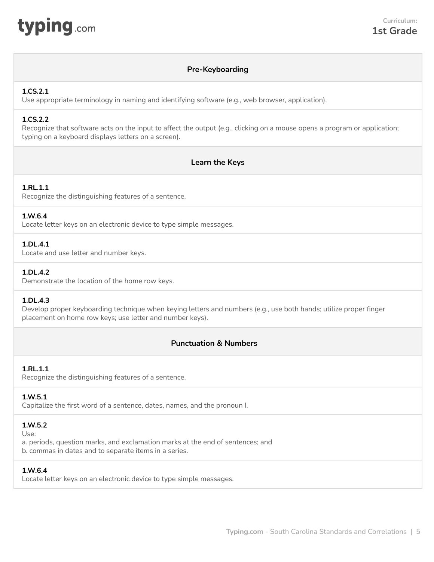<span id="page-4-0"></span>

# **Pre-Keyboarding**

# **1.CS.2.1**

Use appropriate terminology in naming and identifying software (e.g., web browser, application).

### **1.CS.2.2**

Recognize that software acts on the input to affect the output (e.g., clicking on a mouse opens a program or application; typing on a keyboard displays letters on a screen).

# **Learn the Keys**

# **1.RL.1.1**

Recognize the distinguishing features of a sentence.

#### **1.W.6.4**

Locate letter keys on an electronic device to type simple messages.

# **1.DL.4.1**

Locate and use letter and number keys.

#### **1.DL.4.2**

Demonstrate the location of the home row keys.

#### **1.DL.4.3**

Develop proper keyboarding technique when keying letters and numbers (e.g., use both hands; utilize proper finger placement on home row keys; use letter and number keys).

# **Punctuation & Numbers**

# **1.RL.1.1**

Recognize the distinguishing features of a sentence.

#### **1.W.5.1**

Capitalize the first word of a sentence, dates, names, and the pronoun I.

#### **1.W.5.2**

Use:

a. periods, question marks, and exclamation marks at the end of sentences; and b. commas in dates and to separate items in a series.

# **1.W.6.4**

Locate letter keys on an electronic device to type simple messages.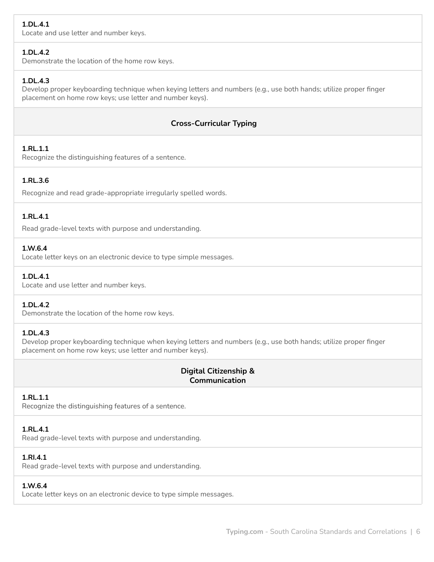# **1.DL.4.1**

Locate and use letter and number keys.

# **1.DL.4.2**

Demonstrate the location of the home row keys.

# **1.DL.4.3**

Develop proper keyboarding technique when keying letters and numbers (e.g., use both hands; utilize proper finger placement on home row keys; use letter and number keys).

# **Cross-Curricular Typing**

# **1.RL.1.1**

Recognize the distinguishing features of a sentence.

# **1.RL.3.6**

Recognize and read grade-appropriate irregularly spelled words.

# **1.RL.4.1**

Read grade-level texts with purpose and understanding.

#### **1.W.6.4**

Locate letter keys on an electronic device to type simple messages.

# **1.DL.4.1**

Locate and use letter and number keys.

# **1.DL.4.2**

Demonstrate the location of the home row keys.

#### **1.DL.4.3**

Develop proper keyboarding technique when keying letters and numbers (e.g., use both hands; utilize proper finger placement on home row keys; use letter and number keys).

# **Digital Citizenship & Communication**

# **1.RL.1.1**

Recognize the distinguishing features of a sentence.

#### **1.RL.4.1**

Read grade-level texts with purpose and understanding.

# **1.RI.4.1**

Read grade-level texts with purpose and understanding.

#### **1.W.6.4**

Locate letter keys on an electronic device to type simple messages.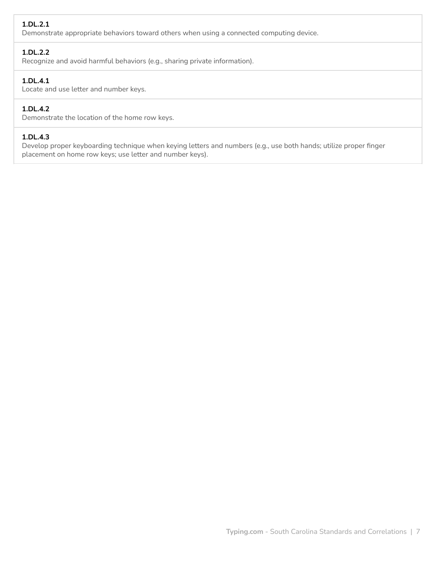# **1.DL.2.1**

Demonstrate appropriate behaviors toward others when using a connected computing device.

# **1.DL.2.2**

Recognize and avoid harmful behaviors (e.g., sharing private information).

# **1.DL.4.1**

Locate and use letter and number keys.

# **1.DL.4.2**

Demonstrate the location of the home row keys.

### **1.DL.4.3**

Develop proper keyboarding technique when keying letters and numbers (e.g., use both hands; utilize proper finger placement on home row keys; use letter and number keys).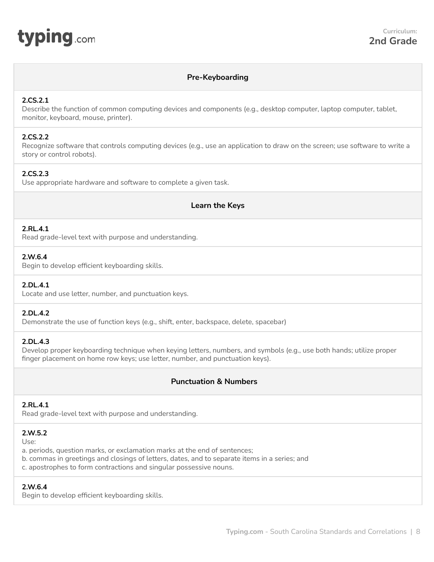<span id="page-7-0"></span>

# **Pre-Keyboarding**

### **2.CS.2.1**

Describe the function of common computing devices and components (e.g., desktop computer, laptop computer, tablet, monitor, keyboard, mouse, printer).

### **2.CS.2.2**

Recognize software that controls computing devices (e.g., use an application to draw on the screen; use software to write a story or control robots).

# **2.CS.2.3**

Use appropriate hardware and software to complete a given task.

# **Learn the Keys**

#### **2.RL.4.1**

Read grade-level text with purpose and understanding.

# **2.W.6.4**

Begin to develop efficient keyboarding skills.

# **2.DL.4.1**

Locate and use letter, number, and punctuation keys.

#### **2.DL.4.2**

Demonstrate the use of function keys (e.g., shift, enter, backspace, delete, spacebar)

#### **2.DL.4.3**

Develop proper keyboarding technique when keying letters, numbers, and symbols (e.g., use both hands; utilize proper finger placement on home row keys; use letter, number, and punctuation keys).

# **Punctuation & Numbers**

#### **2.RL.4.1**

Read grade-level text with purpose and understanding.

#### **2.W.5.2**

Use:

a. periods, question marks, or exclamation marks at the end of sentences;

- b. commas in greetings and closings of letters, dates, and to separate items in a series; and
- c. apostrophes to form contractions and singular possessive nouns.

#### **2.W.6.4**

Begin to develop efficient keyboarding skills.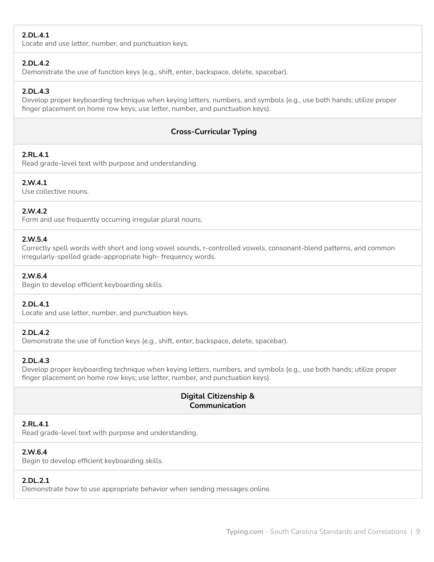# **2.DL.4.1**

Locate and use letter, number, and punctuation keys.

# **2.DL.4.2**

Demonstrate the use of function keys (e.g., shift, enter, backspace, delete, spacebar).

# **2.DL.4.3**

Develop proper keyboarding technique when keying letters, numbers, and symbols (e.g., use both hands; utilize proper finger placement on home row keys; use letter, number, and punctuation keys).

# **Cross-Curricular Typing**

# **2.RL.4.1**

Read grade-level text with purpose and understanding.

# **2.W.4.1**

Use collective nouns.

# **2.W.4.2**

Form and use frequently occurring irregular plural nouns.

# **2.W.5.4**

Correctly spell words with short and long vowel sounds, r-controlled vowels, consonant-blend patterns, and common irregularly-spelled grade-appropriate high- frequency words.

# **2.W.6.4**

Begin to develop efficient keyboarding skills.

# **2.DL.4.1**

Locate and use letter, number, and punctuation keys.

# **2.DL.4.2**

Demonstrate the use of function keys (e.g., shift, enter, backspace, delete, spacebar).

# **2.DL.4.3**

Develop proper keyboarding technique when keying letters, numbers, and symbols (e.g., use both hands; utilize proper finger placement on home row keys; use letter, number, and punctuation keys).

# **Digital Citizenship & Communication**

# **2.RL.4.1**

Read grade-level text with purpose and understanding.

# **2.W.6.4**

Begin to develop efficient keyboarding skills.

# **2.DL.2.1**

Demonstrate how to use appropriate behavior when sending messages online.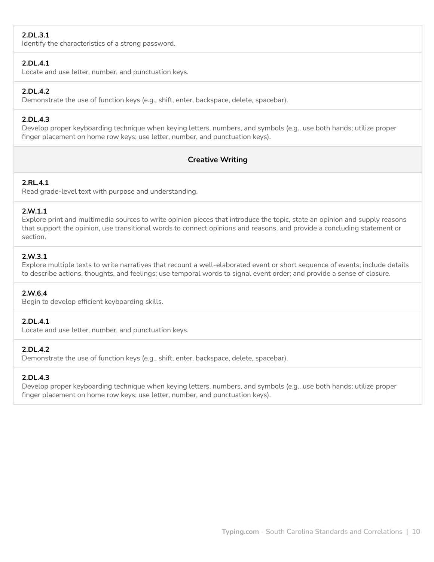# **2.DL.3.1**

Identify the characteristics of a strong password.

# **2.DL.4.1**

Locate and use letter, number, and punctuation keys.

# **2.DL.4.2**

Demonstrate the use of function keys (e.g., shift, enter, backspace, delete, spacebar).

# **2.DL.4.3**

Develop proper keyboarding technique when keying letters, numbers, and symbols (e.g., use both hands; utilize proper finger placement on home row keys; use letter, number, and punctuation keys).

# **Creative Writing**

# **2.RL.4.1**

Read grade-level text with purpose and understanding.

# **2.W.1.1**

Explore print and multimedia sources to write opinion pieces that introduce the topic, state an opinion and supply reasons that support the opinion, use transitional words to connect opinions and reasons, and provide a concluding statement or section.

# **2.W.3.1**

Explore multiple texts to write narratives that recount a well-elaborated event or short sequence of events; include details to describe actions, thoughts, and feelings; use temporal words to signal event order; and provide a sense of closure.

# **2.W.6.4**

Begin to develop efficient keyboarding skills.

# **2.DL.4.1**

Locate and use letter, number, and punctuation keys.

# **2.DL.4.2**

Demonstrate the use of function keys (e.g., shift, enter, backspace, delete, spacebar).

# **2.DL.4.3**

Develop proper keyboarding technique when keying letters, numbers, and symbols (e.g., use both hands; utilize proper finger placement on home row keys; use letter, number, and punctuation keys).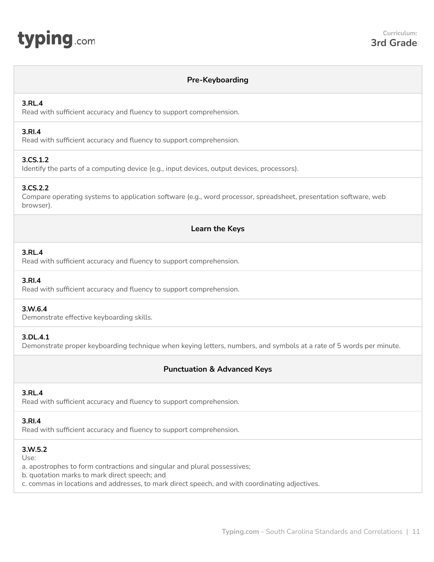# **Pre-Keyboarding**

# <span id="page-10-0"></span>**3.RL.4**

Read with sufficient accuracy and fluency to support comprehension.

# **3.RI.4**

Read with sufficient accuracy and fluency to support comprehension.

# **3.CS.1.2**

Identify the parts of a computing device (e.g., input devices, output devices, processors).

# **3.CS.2.2**

Compare operating systems to application software (e.g., word processor, spreadsheet, presentation software, web browser).

# **Learn the Keys**

# **3.RL.4**

Read with sufficient accuracy and fluency to support comprehension.

### **3.RI.4**

Read with sufficient accuracy and fluency to support comprehension.

#### **3.W.6.4**

Demonstrate effective keyboarding skills.

# **3.DL.4.1**

Demonstrate proper keyboarding technique when keying letters, numbers, and symbols at a rate of 5 words per minute.

# **Punctuation & Advanced Keys**

#### **3.RL.4**

Read with sufficient accuracy and fluency to support comprehension.

# **3.RI.4**

Read with sufficient accuracy and fluency to support comprehension.

# **3.W.5.2**

Use:

a. apostrophes to form contractions and singular and plural possessives;

b. quotation marks to mark direct speech; and

c. commas in locations and addresses, to mark direct speech, and with coordinating adjectives.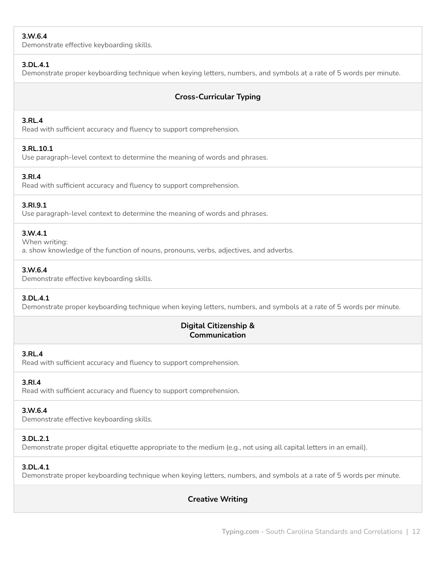# **3.W.6.4**

Demonstrate effective keyboarding skills.

### **3.DL.4.1**

Demonstrate proper keyboarding technique when keying letters, numbers, and symbols at a rate of 5 words per minute.

# **Cross-Curricular Typing**

# **3.RL.4**

Read with sufficient accuracy and fluency to support comprehension.

# **3.RL.10.1**

Use paragraph-level context to determine the meaning of words and phrases.

# **3.RI.4**

Read with sufficient accuracy and fluency to support comprehension.

# **3.RI.9.1**

Use paragraph-level context to determine the meaning of words and phrases.

# **3.W.4.1**

When writing:

a. show knowledge of the function of nouns, pronouns, verbs, adjectives, and adverbs.

# **3.W.6.4**

Demonstrate effective keyboarding skills.

#### **3.DL.4.1**

Demonstrate proper keyboarding technique when keying letters, numbers, and symbols at a rate of 5 words per minute.

# **Digital Citizenship & Communication**

#### **3.RL.4**

Read with sufficient accuracy and fluency to support comprehension.

# **3.RI.4**

Read with sufficient accuracy and fluency to support comprehension.

# **3.W.6.4**

Demonstrate effective keyboarding skills.

# **3.DL.2.1**

Demonstrate proper digital etiquette appropriate to the medium (e.g., not using all capital letters in an email).

# **3.DL.4.1**

Demonstrate proper keyboarding technique when keying letters, numbers, and symbols at a rate of 5 words per minute.

**Creative Writing**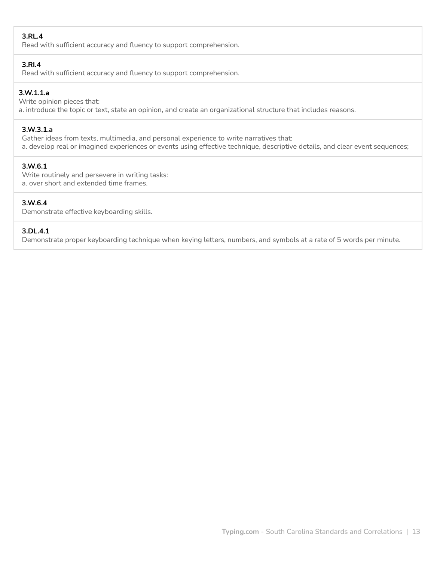### **3.RL.4**

Read with sufficient accuracy and fluency to support comprehension.

#### **3.RI.4**

Read with sufficient accuracy and fluency to support comprehension.

# **3.W.1.1.a**

Write opinion pieces that: a. introduce the topic or text, state an opinion, and create an organizational structure that includes reasons.

### **3.W.3.1.a**

Gather ideas from texts, multimedia, and personal experience to write narratives that: a. develop real or imagined experiences or events using effective technique, descriptive details, and clear event sequences;

# **3.W.6.1**

Write routinely and persevere in writing tasks: a. over short and extended time frames.

# **3.W.6.4**

Demonstrate effective keyboarding skills.

#### **3.DL.4.1**

Demonstrate proper keyboarding technique when keying letters, numbers, and symbols at a rate of 5 words per minute.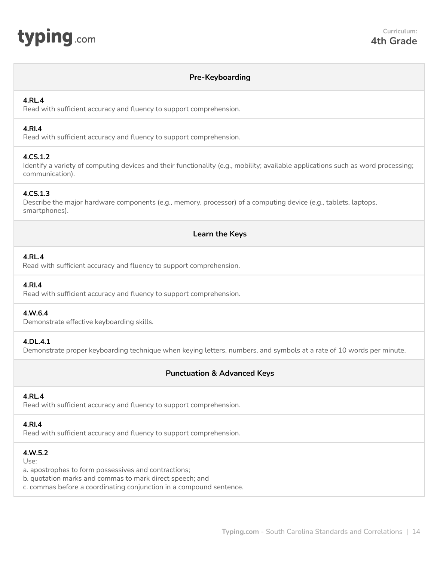<span id="page-13-0"></span>

### **Pre-Keyboarding**

#### **4.RL.4**

Read with sufficient accuracy and fluency to support comprehension.

### **4.RI.4**

Read with sufficient accuracy and fluency to support comprehension.

#### **4.CS.1.2**

Identify a variety of computing devices and their functionality (e.g., mobility; available applications such as word processing; communication).

#### **4.CS.1.3**

Describe the major hardware components (e.g., memory, processor) of a computing device (e.g., tablets, laptops, smartphones).

# **Learn the Keys**

#### **4.RL.4**

Read with sufficient accuracy and fluency to support comprehension.

#### **4.RI.4**

Read with sufficient accuracy and fluency to support comprehension.

#### **4.W.6.4**

Demonstrate effective keyboarding skills.

#### **4.DL.4.1**

Demonstrate proper keyboarding technique when keying letters, numbers, and symbols at a rate of 10 words per minute.

# **Punctuation & Advanced Keys**

#### **4.RL.4**

Read with sufficient accuracy and fluency to support comprehension.

#### **4.RI.4**

Read with sufficient accuracy and fluency to support comprehension.

#### **4.W.5.2**

Use:

a. apostrophes to form possessives and contractions;

b. quotation marks and commas to mark direct speech; and

c. commas before a coordinating conjunction in a compound sentence.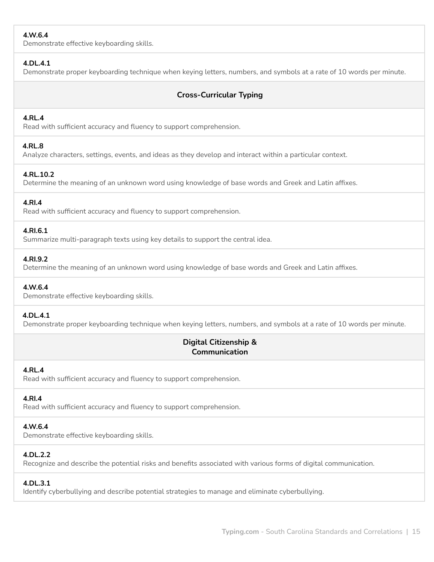# **4.W.6.4**

Demonstrate effective keyboarding skills.

# **4.DL.4.1**

Demonstrate proper keyboarding technique when keying letters, numbers, and symbols at a rate of 10 words per minute.

# **Cross-Curricular Typing**

# **4.RL.4**

Read with sufficient accuracy and fluency to support comprehension.

# **4.RL.8**

Analyze characters, settings, events, and ideas as they develop and interact within a particular context.

# **4.RL.10.2**

Determine the meaning of an unknown word using knowledge of base words and Greek and Latin affixes.

#### **4.RI.4**

Read with sufficient accuracy and fluency to support comprehension.

#### **4.RI.6.1**

Summarize multi-paragraph texts using key details to support the central idea.

#### **4.RI.9.2**

Determine the meaning of an unknown word using knowledge of base words and Greek and Latin affixes.

#### **4.W.6.4**

Demonstrate effective keyboarding skills.

#### **4.DL.4.1**

Demonstrate proper keyboarding technique when keying letters, numbers, and symbols at a rate of 10 words per minute.

# **Digital Citizenship & Communication**

#### **4.RL.4**

Read with sufficient accuracy and fluency to support comprehension.

# **4.RI.4**

Read with sufficient accuracy and fluency to support comprehension.

# **4.W.6.4**

Demonstrate effective keyboarding skills.

#### **4.DL.2.2**

Recognize and describe the potential risks and benefits associated with various forms of digital communication.

# **4.DL.3.1**

Identify cyberbullying and describe potential strategies to manage and eliminate cyberbullying.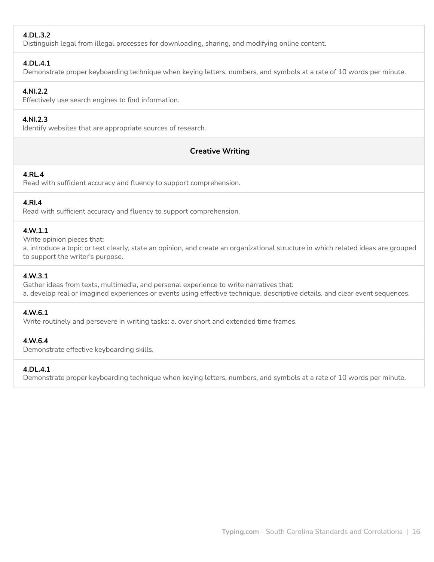# **4.DL.3.2**

Distinguish legal from illegal processes for downloading, sharing, and modifying online content.

### **4.DL.4.1**

Demonstrate proper keyboarding technique when keying letters, numbers, and symbols at a rate of 10 words per minute.

# **4.NI.2.2**

Effectively use search engines to find information.

# **4.NI.2.3**

Identify websites that are appropriate sources of research.

# **Creative Writing**

# **4.RL.4**

Read with sufficient accuracy and fluency to support comprehension.

# **4.RI.4**

Read with sufficient accuracy and fluency to support comprehension.

# **4.W.1.1**

Write opinion pieces that:

a. introduce a topic or text clearly, state an opinion, and create an organizational structure in which related ideas are grouped to support the writer's purpose.

# **4.W.3.1**

Gather ideas from texts, multimedia, and personal experience to write narratives that: a. develop real or imagined experiences or events using effective technique, descriptive details, and clear event sequences.

#### **4.W.6.1**

Write routinely and persevere in writing tasks: a. over short and extended time frames.

#### **4.W.6.4**

Demonstrate effective keyboarding skills.

#### **4.DL.4.1**

Demonstrate proper keyboarding technique when keying letters, numbers, and symbols at a rate of 10 words per minute.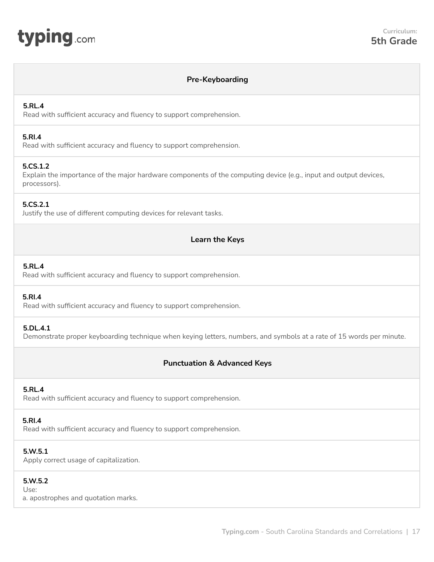<span id="page-16-0"></span>

# **Pre-Keyboarding**

#### **5.RL.4**

Read with sufficient accuracy and fluency to support comprehension.

#### **5.RI.4**

Read with sufficient accuracy and fluency to support comprehension.

#### **5.CS.1.2**

Explain the importance of the major hardware components of the computing device (e.g., input and output devices, processors).

#### **5.CS.2.1**

Justify the use of different computing devices for relevant tasks.

# **Learn the Keys**

#### **5.RL.4**

Read with sufficient accuracy and fluency to support comprehension.

### **5.RI.4**

Read with sufficient accuracy and fluency to support comprehension.

#### **5.DL.4.1**

Demonstrate proper keyboarding technique when keying letters, numbers, and symbols at a rate of 15 words per minute.

# **Punctuation & Advanced Keys**

#### **5.RL.4**

Read with sufficient accuracy and fluency to support comprehension.

#### **5.RI.4**

Read with sufficient accuracy and fluency to support comprehension.

#### **5.W.5.1**

Apply correct usage of capitalization.

#### **5.W.5.2**

Use:

a. apostrophes and quotation marks.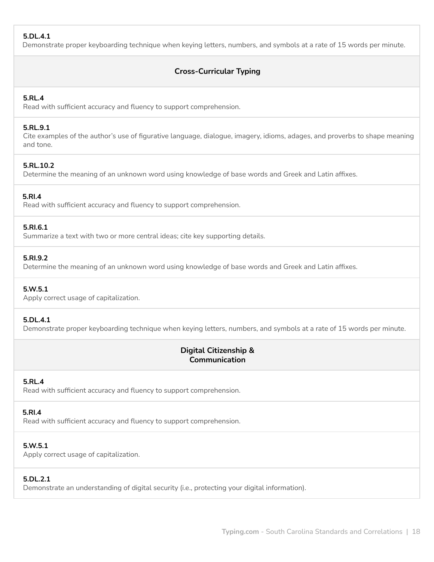# **5.DL.4.1**

Demonstrate proper keyboarding technique when keying letters, numbers, and symbols at a rate of 15 words per minute.

# **Cross-Curricular Typing**

### **5.RL.4**

Read with sufficient accuracy and fluency to support comprehension.

#### **5.RL.9.1**

Cite examples of the author's use of figurative language, dialogue, imagery, idioms, adages, and proverbs to shape meaning and tone.

#### **5.RL.10.2**

Determine the meaning of an unknown word using knowledge of base words and Greek and Latin affixes.

#### **5.RI.4**

Read with sufficient accuracy and fluency to support comprehension.

#### **5.RI.6.1**

Summarize a text with two or more central ideas; cite key supporting details.

# **5.RI.9.2**

Determine the meaning of an unknown word using knowledge of base words and Greek and Latin affixes.

#### **5.W.5.1**

Apply correct usage of capitalization.

#### **5.DL.4.1**

Demonstrate proper keyboarding technique when keying letters, numbers, and symbols at a rate of 15 words per minute.

# **Digital Citizenship & Communication**

#### **5.RL.4**

Read with sufficient accuracy and fluency to support comprehension.

# **5.RI.4**

Read with sufficient accuracy and fluency to support comprehension.

# **5.W.5.1**

Apply correct usage of capitalization.

# **5.DL.2.1**

Demonstrate an understanding of digital security (i.e., protecting your digital information).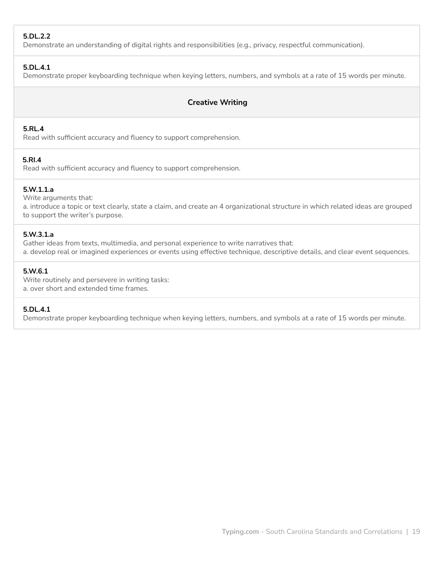# **5.DL.2.2**

Demonstrate an understanding of digital rights and responsibilities (e.g., privacy, respectful communication).

### **5.DL.4.1**

Demonstrate proper keyboarding technique when keying letters, numbers, and symbols at a rate of 15 words per minute.

# **Creative Writing**

### **5.RL.4**

Read with sufficient accuracy and fluency to support comprehension.

# **5.RI.4**

Read with sufficient accuracy and fluency to support comprehension.

#### **5.W.1.1.a**

Write arguments that: a. introduce a topic or text clearly, state a claim, and create an 4 organizational structure in which related ideas are grouped to support the writer's purpose.

#### **5.W.3.1.a**

Gather ideas from texts, multimedia, and personal experience to write narratives that: a. develop real or imagined experiences or events using effective technique, descriptive details, and clear event sequences.

#### **5.W.6.1**

Write routinely and persevere in writing tasks: a. over short and extended time frames.

#### **5.DL.4.1**

Demonstrate proper keyboarding technique when keying letters, numbers, and symbols at a rate of 15 words per minute.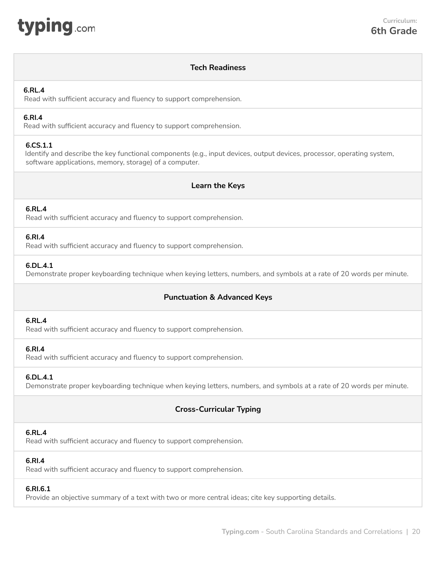<span id="page-19-0"></span>

# **Tech Readiness**

#### **6.RL.4**

Read with sufficient accuracy and fluency to support comprehension.

# **6.RI.4**

Read with sufficient accuracy and fluency to support comprehension.

# **6.CS.1.1**

Identify and describe the key functional components (e.g., input devices, output devices, processor, operating system, software applications, memory, storage) of a computer.

# **Learn the Keys**

# **6.RL.4**

Read with sufficient accuracy and fluency to support comprehension.

#### **6.RI.4**

Read with sufficient accuracy and fluency to support comprehension.

## **6.DL.4.1**

Demonstrate proper keyboarding technique when keying letters, numbers, and symbols at a rate of 20 words per minute.

# **Punctuation & Advanced Keys**

#### **6.RL.4**

Read with sufficient accuracy and fluency to support comprehension.

#### **6.RI.4**

Read with sufficient accuracy and fluency to support comprehension.

#### **6.DL.4.1**

Demonstrate proper keyboarding technique when keying letters, numbers, and symbols at a rate of 20 words per minute.

# **Cross-Curricular Typing**

#### **6.RL.4**

Read with sufficient accuracy and fluency to support comprehension.

# **6.RI.4**

Read with sufficient accuracy and fluency to support comprehension.

#### **6.RI.6.1**

Provide an objective summary of a text with two or more central ideas; cite key supporting details.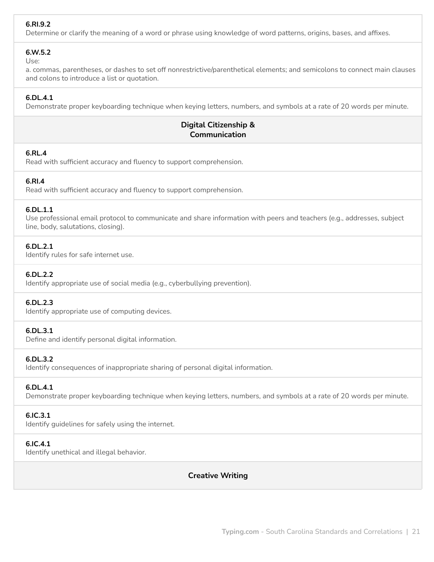# **6.RI.9.2**

Determine or clarify the meaning of a word or phrase using knowledge of word patterns, origins, bases, and affixes.

#### **6.W.5.2**

Use:

a. commas, parentheses, or dashes to set off nonrestrictive/parenthetical elements; and semicolons to connect main clauses and colons to introduce a list or quotation.

# **6.DL.4.1**

Demonstrate proper keyboarding technique when keying letters, numbers, and symbols at a rate of 20 words per minute.

# **Digital Citizenship & Communication**

#### **6.RL.4**

Read with sufficient accuracy and fluency to support comprehension.

#### **6.RI.4**

Read with sufficient accuracy and fluency to support comprehension.

#### **6.DL.1.1**

Use professional email protocol to communicate and share information with peers and teachers (e.g., addresses, subject line, body, salutations, closing).

#### **6.DL.2.1**

Identify rules for safe internet use.

#### **6.DL.2.2**

Identify appropriate use of social media (e.g., cyberbullying prevention).

#### **6.DL.2.3**

Identify appropriate use of computing devices.

#### **6.DL.3.1**

Define and identify personal digital information.

#### **6.DL.3.2**

Identify consequences of inappropriate sharing of personal digital information.

#### **6.DL.4.1**

Demonstrate proper keyboarding technique when keying letters, numbers, and symbols at a rate of 20 words per minute.

#### **6.IC.3.1**

Identify guidelines for safely using the internet.

#### **6.IC.4.1**

Identify unethical and illegal behavior.

**Creative Writing**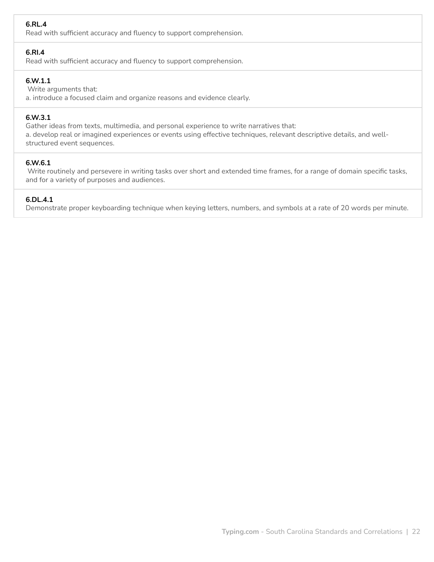# **6.RL.4**

Read with sufficient accuracy and fluency to support comprehension.

### **6.RI.4**

Read with sufficient accuracy and fluency to support comprehension.

# **6.W.1.1**

Write arguments that:

a. introduce a focused claim and organize reasons and evidence clearly.

# **6.W.3.1**

Gather ideas from texts, multimedia, and personal experience to write narratives that: a. develop real or imagined experiences or events using effective techniques, relevant descriptive details, and wellstructured event sequences.

#### **6.W.6.1**

Write routinely and persevere in writing tasks over short and extended time frames, for a range of domain specific tasks, and for a variety of purposes and audiences.

### **6.DL.4.1**

Demonstrate proper keyboarding technique when keying letters, numbers, and symbols at a rate of 20 words per minute.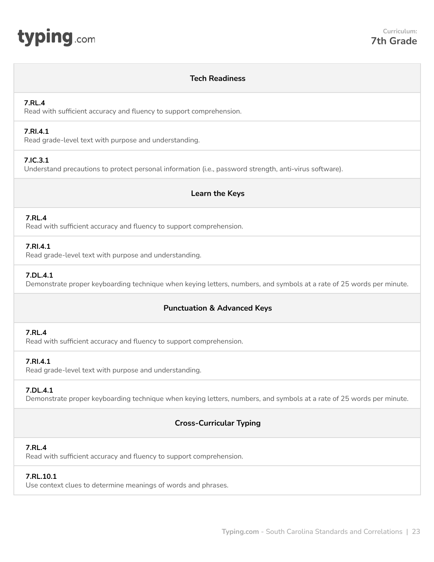<span id="page-22-0"></span>

# **Tech Readiness**

### **7.RL.4**

Read with sufficient accuracy and fluency to support comprehension.

#### **7.RI.4.1**

Read grade-level text with purpose and understanding.

# **7.IC.3.1**

Understand precautions to protect personal information (i.e., password strength, anti-virus software).

# **Learn the Keys**

# **7.RL.4**

Read with sufficient accuracy and fluency to support comprehension.

# **7.RI.4.1**

Read grade-level text with purpose and understanding.

# **7.DL.4.1**

Demonstrate proper keyboarding technique when keying letters, numbers, and symbols at a rate of 25 words per minute.

# **Punctuation & Advanced Keys**

# **7.RL.4**

Read with sufficient accuracy and fluency to support comprehension.

# **7.RI.4.1**

Read grade-level text with purpose and understanding.

# **7.DL.4.1**

Demonstrate proper keyboarding technique when keying letters, numbers, and symbols at a rate of 25 words per minute.

# **Cross-Curricular Typing**

#### **7.RL.4**

Read with sufficient accuracy and fluency to support comprehension.

#### **7.RL.10.1**

Use context clues to determine meanings of words and phrases.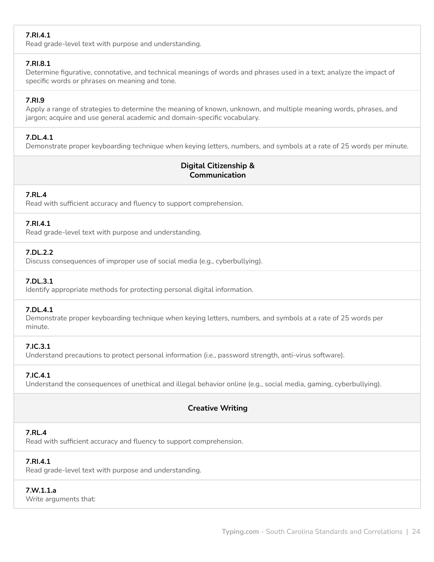# **7.RI.4.1**

Read grade-level text with purpose and understanding.

# **7.RI.8.1**

Determine figurative, connotative, and technical meanings of words and phrases used in a text; analyze the impact of specific words or phrases on meaning and tone.

# **7.RI.9**

Apply a range of strategies to determine the meaning of known, unknown, and multiple meaning words, phrases, and jargon; acquire and use general academic and domain-specific vocabulary.

# **7.DL.4.1**

Demonstrate proper keyboarding technique when keying letters, numbers, and symbols at a rate of 25 words per minute.

# **Digital Citizenship & Communication**

# **7.RL.4**

Read with sufficient accuracy and fluency to support comprehension.

# **7.RI.4.1**

Read grade-level text with purpose and understanding.

# **7.DL.2.2**

Discuss consequences of improper use of social media (e.g., cyberbullying).

# **7.DL.3.1**

Identify appropriate methods for protecting personal digital information.

#### **7.DL.4.1**

Demonstrate proper keyboarding technique when keying letters, numbers, and symbols at a rate of 25 words per minute.

# **7.IC.3.1**

Understand precautions to protect personal information (i.e., password strength, anti-virus software).

# **7.IC.4.1**

Understand the consequences of unethical and illegal behavior online (e.g., social media, gaming, cyberbullying).

# **Creative Writing**

# **7.RL.4**

Read with sufficient accuracy and fluency to support comprehension.

# **7.RI.4.1**

Read grade-level text with purpose and understanding.

# **7.W.1.1.a**

Write arguments that: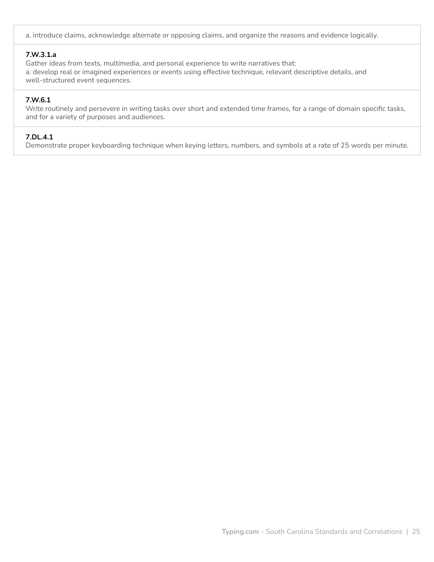a. introduce claims, acknowledge alternate or opposing claims, and organize the reasons and evidence logically.

# **7.W.3.1.a**

Gather ideas from texts, multimedia, and personal experience to write narratives that: a. develop real or imagined experiences or events using effective technique, relevant descriptive details, and well-structured event sequences.

### **7.W.6.1**

Write routinely and persevere in writing tasks over short and extended time frames, for a range of domain specific tasks, and for a variety of purposes and audiences.

### **7.DL.4.1**

Demonstrate proper keyboarding technique when keying letters, numbers, and symbols at a rate of 25 words per minute.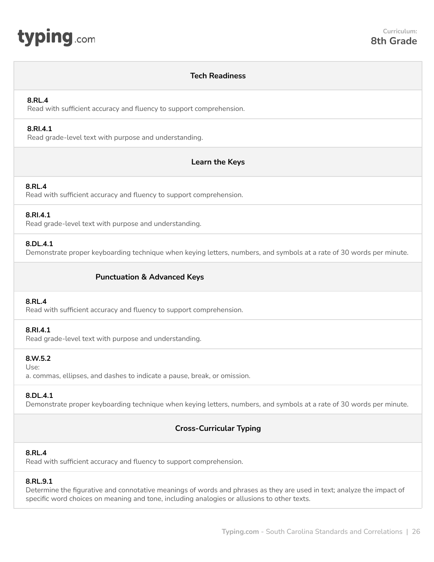<span id="page-25-0"></span>

### **Tech Readiness**

#### **8.RL.4**

Read with sufficient accuracy and fluency to support comprehension.

#### **8.RI.4.1**

Read grade-level text with purpose and understanding.

# **Learn the Keys**

#### **8.RL.4**

Read with sufficient accuracy and fluency to support comprehension.

#### **8.RI.4.1**

Read grade-level text with purpose and understanding.

#### **8.DL.4.1**

Demonstrate proper keyboarding technique when keying letters, numbers, and symbols at a rate of 30 words per minute.

# **Punctuation & Advanced Keys**

#### **8.RL.4**

Read with sufficient accuracy and fluency to support comprehension.

#### **8.RI.4.1**

Read grade-level text with purpose and understanding.

#### **8.W.5.2**

Use:

a. commas, ellipses, and dashes to indicate a pause, break, or omission.

#### **8.DL.4.1**

Demonstrate proper keyboarding technique when keying letters, numbers, and symbols at a rate of 30 words per minute.

# **Cross-Curricular Typing**

# **8.RL.4**

Read with sufficient accuracy and fluency to support comprehension.

#### **8.RL.9.1**

Determine the figurative and connotative meanings of words and phrases as they are used in text; analyze the impact of specific word choices on meaning and tone, including analogies or allusions to other texts.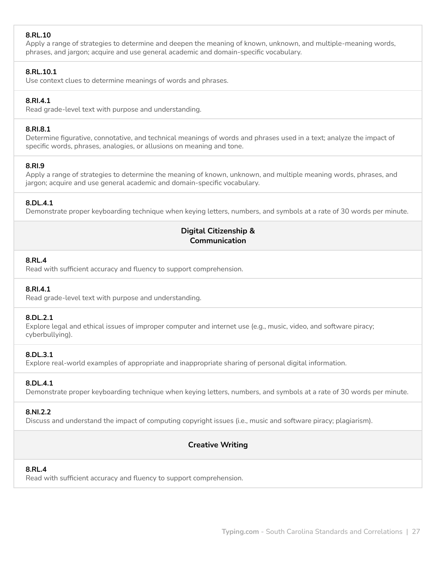# **8.RL.10**

Apply a range of strategies to determine and deepen the meaning of known, unknown, and multiple-meaning words, phrases, and jargon; acquire and use general academic and domain-specific vocabulary.

# **8.RL.10.1**

Use context clues to determine meanings of words and phrases.

### **8.RI.4.1**

Read grade-level text with purpose and understanding.

#### **8.RI.8.1**

Determine figurative, connotative, and technical meanings of words and phrases used in a text; analyze the impact of specific words, phrases, analogies, or allusions on meaning and tone.

#### **8.RI.9**

Apply a range of strategies to determine the meaning of known, unknown, and multiple meaning words, phrases, and jargon; acquire and use general academic and domain-specific vocabulary.

# **8.DL.4.1**

Demonstrate proper keyboarding technique when keying letters, numbers, and symbols at a rate of 30 words per minute.

# **Digital Citizenship & Communication**

#### **8.RL.4**

Read with sufficient accuracy and fluency to support comprehension.

#### **8.RI.4.1**

Read grade-level text with purpose and understanding.

#### **8.DL.2.1**

Explore legal and ethical issues of improper computer and internet use (e.g., music, video, and software piracy; cyberbullying).

#### **8.DL.3.1**

Explore real-world examples of appropriate and inappropriate sharing of personal digital information.

#### **8.DL.4.1**

Demonstrate proper keyboarding technique when keying letters, numbers, and symbols at a rate of 30 words per minute.

#### **8.NI.2.2**

Discuss and understand the impact of computing copyright issues (i.e., music and software piracy; plagiarism).

# **Creative Writing**

# **8.RL.4**

Read with sufficient accuracy and fluency to support comprehension.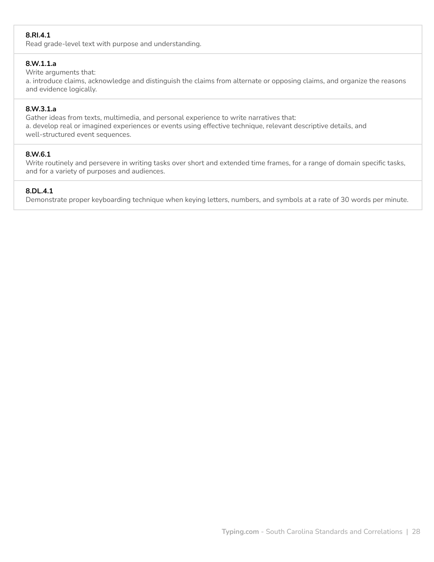# **8.RI.4.1**

Read grade-level text with purpose and understanding.

#### **8.W.1.1.a**

#### Write arguments that:

a. introduce claims, acknowledge and distinguish the claims from alternate or opposing claims, and organize the reasons and evidence logically.

#### **8.W.3.1.a**

Gather ideas from texts, multimedia, and personal experience to write narratives that: a. develop real or imagined experiences or events using effective technique, relevant descriptive details, and well-structured event sequences.

# **8.W.6.1**

Write routinely and persevere in writing tasks over short and extended time frames, for a range of domain specific tasks, and for a variety of purposes and audiences.

# **8.DL.4.1**

Demonstrate proper keyboarding technique when keying letters, numbers, and symbols at a rate of 30 words per minute.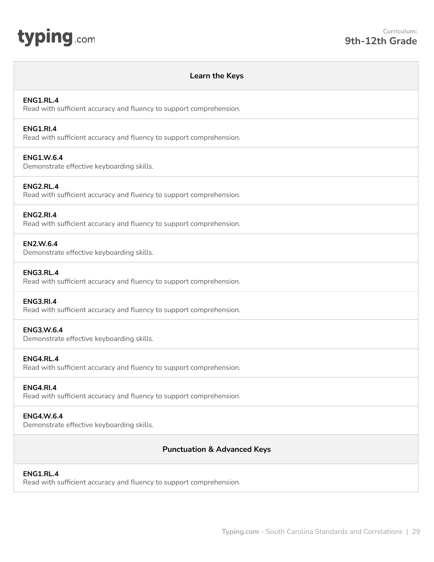<span id="page-28-0"></span>

#### **Learn the Keys**

#### **ENG1.RL.4**

Read with sufficient accuracy and fluency to support comprehension.

#### **ENG1.RI.4**

Read with sufficient accuracy and fluency to support comprehension.

#### **ENG1.W.6.4**

Demonstrate effective keyboarding skills.

#### **ENG2.RL.4**

Read with sufficient accuracy and fluency to support comprehension.

#### **ENG2.RI.4**

Read with sufficient accuracy and fluency to support comprehension.

#### **EN2.W.6.4**

Demonstrate effective keyboarding skills.

#### **ENG3.RL.4**

Read with sufficient accuracy and fluency to support comprehension.

#### **ENG3.RI.4**

Read with sufficient accuracy and fluency to support comprehension.

#### **ENG3.W.6.4**

Demonstrate effective keyboarding skills.

#### **ENG4.RL.4**

Read with sufficient accuracy and fluency to support comprehension.

#### **ENG4.RI.4**

Read with sufficient accuracy and fluency to support comprehension.

#### **ENG4.W.6.4**

Demonstrate effective keyboarding skills.

#### **Punctuation & Advanced Keys**

#### **ENG1.RL.4**

Read with sufficient accuracy and fluency to support comprehension.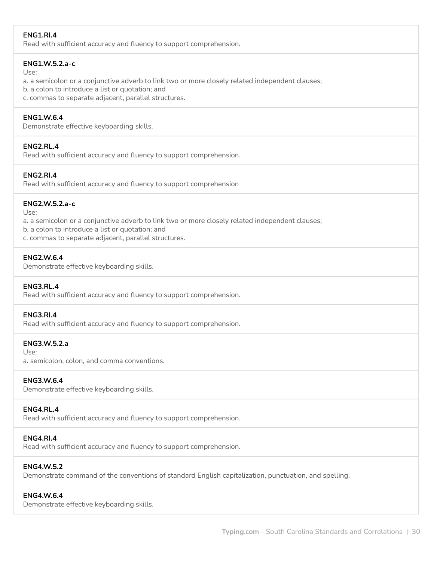# **ENG1.RI.4**

Read with sufficient accuracy and fluency to support comprehension.

# **ENG1.W.5.2.a-c**

Use:

a. a semicolon or a conjunctive adverb to link two or more closely related independent clauses;

b. a colon to introduce a list or quotation; and

c. commas to separate adjacent, parallel structures.

# **ENG1.W.6.4**

Demonstrate effective keyboarding skills.

# **ENG2.RL.4**

Read with sufficient accuracy and fluency to support comprehension.

# **ENG2.RI.4**

Read with sufficient accuracy and fluency to support comprehension

# **ENG2.W.5.2.a-c**

Use:

a. a semicolon or a conjunctive adverb to link two or more closely related independent clauses;

b. a colon to introduce a list or quotation; and

c. commas to separate adjacent, parallel structures.

# **ENG2.W.6.4**

Demonstrate effective keyboarding skills.

#### **ENG3.RL.4**

Read with sufficient accuracy and fluency to support comprehension.

#### **ENG3.RI.4**

Read with sufficient accuracy and fluency to support comprehension.

# **ENG3.W.5.2.a**

Use:

a. semicolon, colon, and comma conventions.

#### **ENG3.W.6.4**

Demonstrate effective keyboarding skills.

# **ENG4.RL.4**

Read with sufficient accuracy and fluency to support comprehension.

# **ENG4.RI.4**

Read with sufficient accuracy and fluency to support comprehension.

#### **ENG4.W.5.2**

Demonstrate command of the conventions of standard English capitalization, punctuation, and spelling.

# **ENG4.W.6.4**

Demonstrate effective keyboarding skills.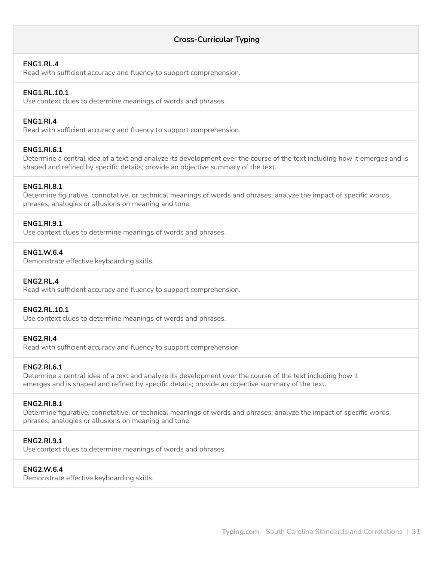# **Cross-Curricular Typing**

#### **ENG1.RL.4**

Read with sufficient accuracy and fluency to support comprehension.

#### **ENG1.RL.10.1**

Use context clues to determine meanings of words and phrases.

#### **ENG1.RI.4**

Read with sufficient accuracy and fluency to support comprehension.

#### **ENG1.RI.6.1**

Determine a central idea of a text and analyze its development over the course of the text including how it emerges and is shaped and refined by specific details; provide an objective summary of the text.

#### **ENG1.RI.8.1**

Determine figurative, connotative, or technical meanings of words and phrases; analyze the impact of specific words, phrases, analogies or allusions on meaning and tone.

#### **ENG1.RI.9.1**

Use context clues to determine meanings of words and phrases.

#### **ENG1.W.6.4**

Demonstrate effective keyboarding skills.

#### **ENG2.RL.4**

Read with sufficient accuracy and fluency to support comprehension.

#### **ENG2.RL.10.1**

Use context clues to determine meanings of words and phrases.

#### **ENG2.RI.4**

Read with sufficient accuracy and fluency to support comprehension

### **ENG2.RI.6.1**

Determine a central idea of a text and analyze its development over the course of the text including how it emerges and is shaped and refined by specific details; provide an objective summary of the text.

#### **ENG2.RI.8.1**

Determine figurative, connotative, or technical meanings of words and phrases; analyze the impact of specific words, phrases, analogies or allusions on meaning and tone.

## **ENG2.RI.9.1**

Use context clues to determine meanings of words and phrases.

#### **ENG2.W.6.4**

Demonstrate effective keyboarding skills.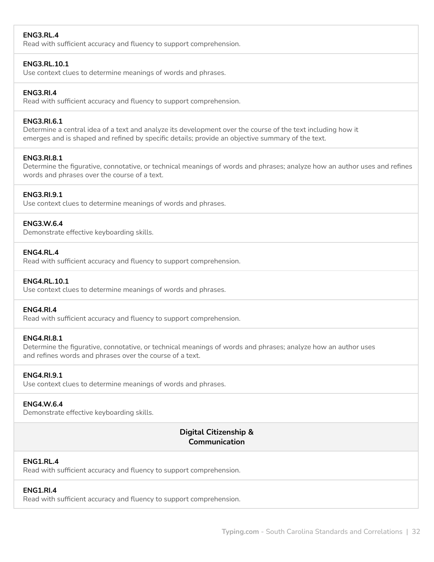# **ENG3.RL.4**

Read with sufficient accuracy and fluency to support comprehension.

#### **ENG3.RL.10.1**

Use context clues to determine meanings of words and phrases.

#### **ENG3.RI.4**

Read with sufficient accuracy and fluency to support comprehension.

#### **ENG3.RI.6.1**

Determine a central idea of a text and analyze its development over the course of the text including how it emerges and is shaped and refined by specific details; provide an objective summary of the text.

#### **ENG3.RI.8.1**

Determine the figurative, connotative, or technical meanings of words and phrases; analyze how an author uses and refines words and phrases over the course of a text.

#### **ENG3.RI.9.1**

Use context clues to determine meanings of words and phrases.

#### **ENG3.W.6.4**

Demonstrate effective keyboarding skills.

#### **ENG4.RL.4**

Read with sufficient accuracy and fluency to support comprehension.

#### **ENG4.RL.10.1**

Use context clues to determine meanings of words and phrases.

#### **ENG4.RI.4**

Read with sufficient accuracy and fluency to support comprehension.

#### **ENG4.RI.8.1**

Determine the figurative, connotative, or technical meanings of words and phrases; analyze how an author uses and refines words and phrases over the course of a text.

#### **ENG4.RI.9.1**

Use context clues to determine meanings of words and phrases.

#### **ENG4.W.6.4**

Demonstrate effective keyboarding skills.

# **Digital Citizenship & Communication**

#### **ENG1.RL.4**

Read with sufficient accuracy and fluency to support comprehension.

#### **ENG1.RI.4**

Read with sufficient accuracy and fluency to support comprehension.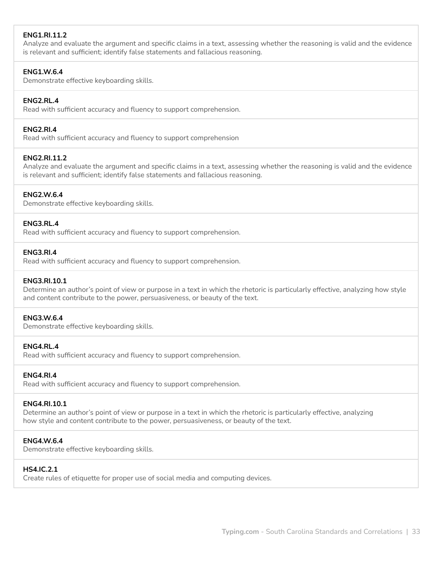# **ENG1.RI.11.2**

Analyze and evaluate the argument and specific claims in a text, assessing whether the reasoning is valid and the evidence is relevant and sufficient; identify false statements and fallacious reasoning.

### **ENG1.W.6.4**

Demonstrate effective keyboarding skills.

### **ENG2.RL.4**

Read with sufficient accuracy and fluency to support comprehension.

#### **ENG2.RI.4**

Read with sufficient accuracy and fluency to support comprehension

# **ENG2.RI.11.2**

Analyze and evaluate the argument and specific claims in a text, assessing whether the reasoning is valid and the evidence is relevant and sufficient; identify false statements and fallacious reasoning.

#### **ENG2.W.6.4**

Demonstrate effective keyboarding skills.

#### **ENG3.RL.4**

Read with sufficient accuracy and fluency to support comprehension.

#### **ENG3.RI.4**

Read with sufficient accuracy and fluency to support comprehension.

#### **ENG3.RI.10.1**

Determine an author's point of view or purpose in a text in which the rhetoric is particularly effective, analyzing how style and content contribute to the power, persuasiveness, or beauty of the text.

#### **ENG3.W.6.4**

Demonstrate effective keyboarding skills.

#### **ENG4.RL.4**

Read with sufficient accuracy and fluency to support comprehension.

#### **ENG4.RI.4**

Read with sufficient accuracy and fluency to support comprehension.

#### **ENG4.RI.10.1**

Determine an author's point of view or purpose in a text in which the rhetoric is particularly effective, analyzing how style and content contribute to the power, persuasiveness, or beauty of the text.

#### **ENG4.W.6.4**

Demonstrate effective keyboarding skills.

#### **HS4.IC.2.1**

Create rules of etiquette for proper use of social media and computing devices.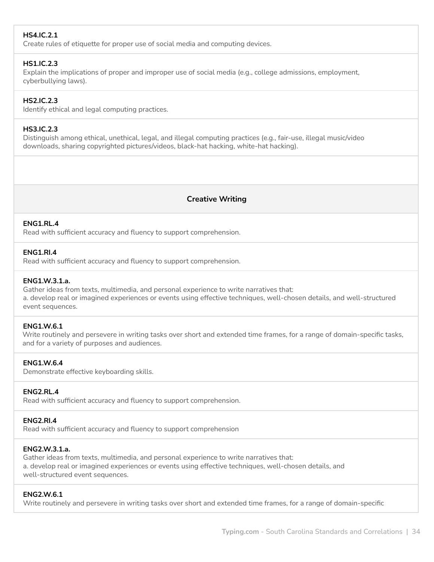# **HS4.IC.2.1**

Create rules of etiquette for proper use of social media and computing devices.

#### **HS1.IC.2.3**

Explain the implications of proper and improper use of social media (e.g., college admissions, employment, cyberbullying laws).

#### **HS2.IC.2.3**

Identify ethical and legal computing practices.

### **HS3.IC.2.3**

Distinguish among ethical, unethical, legal, and illegal computing practices (e.g., fair-use, illegal music/video downloads, sharing copyrighted pictures/videos, black-hat hacking, white-hat hacking).

# **Creative Writing**

#### **ENG1.RL.4**

Read with sufficient accuracy and fluency to support comprehension.

#### **ENG1.RI.4**

Read with sufficient accuracy and fluency to support comprehension.

#### **ENG1.W.3.1.a.**

Gather ideas from texts, multimedia, and personal experience to write narratives that: a. develop real or imagined experiences or events using effective techniques, well-chosen details, and well-structured event sequences.

#### **ENG1.W.6.1**

Write routinely and persevere in writing tasks over short and extended time frames, for a range of domain-specific tasks, and for a variety of purposes and audiences.

#### **ENG1.W.6.4**

Demonstrate effective keyboarding skills.

#### **ENG2.RL.4**

Read with sufficient accuracy and fluency to support comprehension.

#### **ENG2.RI.4**

Read with sufficient accuracy and fluency to support comprehension

#### **ENG2.W.3.1.a.**

Gather ideas from texts, multimedia, and personal experience to write narratives that: a. develop real or imagined experiences or events using effective techniques, well-chosen details, and well-structured event sequences.

#### **ENG2.W.6.1**

Write routinely and persevere in writing tasks over short and extended time frames, for a range of domain-specific